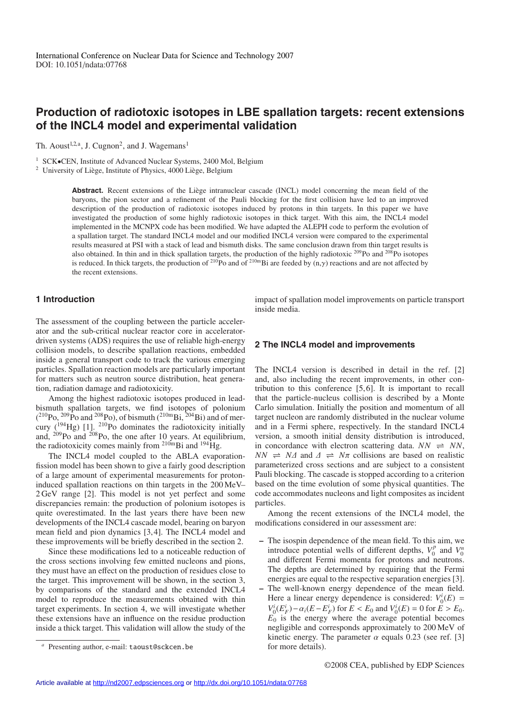# **Production of radiotoxic isotopes in LBE spallation targets: recent extensions of the INCL4 model and experimental validation**

Th. Aoust<sup>1,2,a</sup>, J. Cugnon<sup>2</sup>, and J. Wagemans<sup>1</sup>

<sup>1</sup> SCK $\bullet$ CEN, Institute of Advanced Nuclear Systems, 2400 Mol, Belgium <sup>2</sup> University of Liège, Institute of Physics, 4000 Liège, Belgium

Abstract. Recent extensions of the Liège intranuclear cascade (INCL) model concerning the mean field of the baryons, the pion sector and a refinement of the Pauli blocking for the first collision have led to an improved description of the production of radiotoxic isotopes induced by protons in thin targets. In this paper we have investigated the production of some highly radiotoxic isotopes in thick target. With this aim, the INCL4 model implemented in the MCNPX code has been modified. We have adapted the ALEPH code to perform the evolution of a spallation target. The standard INCL4 model and our modified INCL4 version were compared to the experimental results measured at PSI with a stack of lead and bismuth disks. The same conclusion drawn from thin target results is also obtained. In thin and in thick spallation targets, the production of the highly radiotoxic  $^{209}$ Po and  $^{208}$ Po isotopes is reduced. In thick targets, the production of <sup>210</sup>Po and of <sup>210m</sup>Bi are feeded by  $(n, \gamma)$  reactions and are not affected by the recent extensions.

# **1 Introduction**

The assessment of the coupling between the particle accelerator and the sub-critical nuclear reactor core in acceleratordriven systems (ADS) requires the use of reliable high-energy collision models, to describe spallation reactions, embedded inside a general transport code to track the various emerging particles. Spallation reaction models are particularly important for matters such as neutron source distribution, heat generation, radiation damage and radiotoxicity.

Among the highest radiotoxic isotopes produced in leadbismuth spallation targets, we find isotopes of polonium  $(^{210}Po, ^{209}Po$  and  $^{208}Po$ ), of bismuth  $(^{210m}Bi, ^{204}Bi)$  and of mercury  $(^{194}Hg)$  [1]. <sup>210</sup>Po dominates the radiotoxicity initially and,  $^{209}$ Po and  $^{208}$ Po, the one after 10 years. At equilibrium, the radiotoxicity comes mainly from  $^{210m}$ Bi and  $^{194}$ Hg.

The INCL4 model coupled to the ABLA evaporationfission model has been shown to give a fairly good description of a large amount of experimental measurements for protoninduced spallation reactions on thin targets in the 200 MeV– 2 GeV range [2]. This model is not yet perfect and some discrepancies remain: the production of polonium isotopes is quite overestimated. In the last years there have been new developments of the INCL4 cascade model, bearing on baryon mean field and pion dynamics [3, 4]. The INCL4 model and these improvements will be briefly described in the section 2.

Since these modifications led to a noticeable reduction of the cross sections involving few emitted nucleons and pions, they must have an effect on the production of residues close to the target. This improvement will be shown, in the section 3, by comparisons of the standard and the extended INCL4 model to reproduce the measurements obtained with thin target experiments. In section 4, we will investigate whether these extensions have an influence on the residue production inside a thick target. This validation will allow the study of the impact of spallation model improvements on particle transport inside media.

#### **2 The INCL4 model and improvements**

The INCL4 version is described in detail in the ref. [2] and, also including the recent improvements, in other contribution to this conference [5, 6]. It is important to recall that the particle-nucleus collision is described by a Monte Carlo simulation. Initially the position and momentum of all target nucleon are randomly distributed in the nuclear volume and in a Fermi sphere, respectively. In the standard INCL4 version, a smooth initial density distribution is introduced, in concordance with electron scattering data.  $NN \implies NN$ ,  $NN \Rightarrow NA$  and  $\Delta \Rightarrow N\pi$  collisions are based on realistic parameterized cross sections and are subject to a consistent Pauli blocking. The cascade is stopped according to a criterion based on the time evolution of some physical quantities. The code accommodates nucleons and light composites as incident particles.

Among the recent extensions of the INCL4 model, the modifications considered in our assessment are:

- **–** The isospin dependence of the mean field. To this aim, we introduce potential wells of different depths,  $V_0^p$  and  $V_0^n$ and different Fermi momenta for protons and neutrons. The depths are determined by requiring that the Fermi energies are equal to the respective separation energies [3].
- **–** The well-known energy dependence of the mean field. Here a linear energy dependence is considered:  $V_0^i(E)$  = *V*<sub>1</sub><sup>*i*</sup>( $E^i_F$ ) –  $\alpha_i(E - E^i_F)$  for  $E < E_0$  and  $V^i_0(E) = 0$  for  $E > E_0$ .  $E_0$  is the energy where the average potential becomes negligible and corresponds approximately to 200 MeV of kinetic energy. The parameter  $\alpha$  equals 0.23 (see ref. [3] for more details).

Presenting author, e-mail: taoust@sckcen.be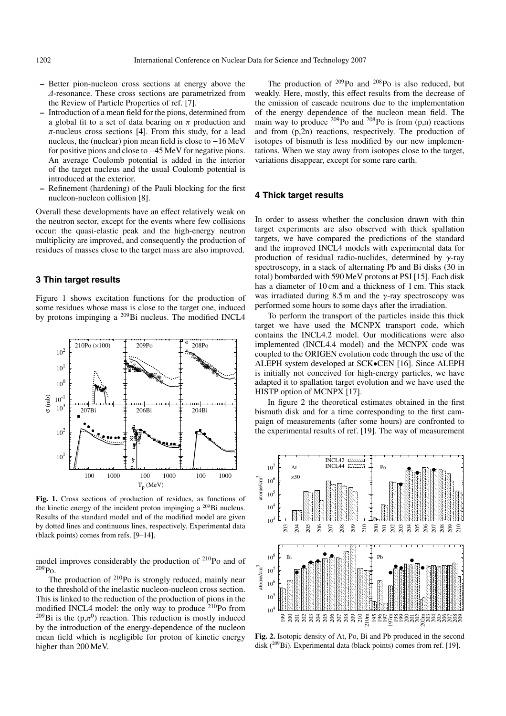- **–** Better pion-nucleon cross sections at energy above the ∆-resonance. These cross sections are parametrized from the Review of Particle Properties of ref. [7].
- **–** Introduction of a mean field for the pions, determined from a global fit to a set of data bearing on  $\pi$  production and  $\pi$ -nucleus cross sections [4]. From this study, for a lead nucleus, the (nuclear) pion mean field is close to −16 MeV for positive pions and close to −45 MeV for negative pions. An average Coulomb potential is added in the interior of the target nucleus and the usual Coulomb potential is introduced at the exterior.
- **–** Refinement (hardening) of the Pauli blocking for the first nucleon-nucleon collision [8].

Overall these developments have an effect relatively weak on the neutron sector, except for the events where few collisions occur: the quasi-elastic peak and the high-energy neutron multiplicity are improved, and consequently the production of residues of masses close to the target mass are also improved.

## **3 Thin target results**

Figure 1 shows excitation functions for the production of some residues whose mass is close to the target one, induced by protons impinging a 209Bi nucleus. The modified INCL4



**Fig. 1.** Cross sections of production of residues, as functions of the kinetic energy of the incident proton impinging a  $^{209}$ Bi nucleus. Results of the standard model and of the modified model are given by dotted lines and continuous lines, respectively. Experimental data (black points) comes from refs. [9–14].

model improves considerably the production of 210Po and of 209Po.

The production of <sup>210</sup>Po is strongly reduced, mainly near to the threshold of the inelastic nucleon-nucleon cross section. This is linked to the reduction of the production of pions in the modified INCL4 model: the only way to produce <sup>210</sup>Po from <sup>209</sup>Bi is the ( $p,\pi^0$ ) reaction. This reduction is mostly induced by the introduction of the energy-dependence of the nucleon mean field which is negligible for proton of kinetic energy higher than 200 MeV.

The production of  $209P<sub>O</sub>$  and  $208P<sub>O</sub>$  is also reduced, but weakly. Here, mostly, this effect results from the decrease of the emission of cascade neutrons due to the implementation of the energy dependence of the nucleon mean field. The main way to produce  $^{209}$ Po and  $^{208}$ Po is from (p,n) reactions and from (p,2n) reactions, respectively. The production of isotopes of bismuth is less modified by our new implementations. When we stay away from isotopes close to the target, variations disappear, except for some rare earth.

#### **4 Thick target results**

In order to assess whether the conclusion drawn with thin target experiments are also observed with thick spallation targets, we have compared the predictions of the standard and the improved INCL4 models with experimental data for production of residual radio-nuclides, determined by  $\gamma$ -ray spectroscopy, in a stack of alternating Pb and Bi disks (30 in total) bombarded with 590 MeV protons at PSI [15]. Each disk has a diameter of 10 cm and a thickness of 1 cm. This stack was irradiated during 8.5 m and the  $\gamma$ -ray spectroscopy was performed some hours to some days after the irradiation.

To perform the transport of the particles inside this thick target we have used the MCNPX transport code, which contains the INCL4.2 model. Our modifications were also implemented (INCL4.4 model) and the MCNPX code was coupled to the ORIGEN evolution code through the use of the ALEPH system developed at SCK•CEN [16]. Since ALEPH is initially not conceived for high-energy particles, we have adapted it to spallation target evolution and we have used the HISTP option of MCNPX [17].

In figure 2 the theoretical estimates obtained in the first bismuth disk and for a time corresponding to the first campaign of measurements (after some hours) are confronted to the experimental results of ref. [19]. The way of measurement



**Fig. 2.** Isotopic density of At, Po, Bi and Pb produced in the second disk  $(^{209}Bi)$ . Experimental data (black points) comes from ref. [19].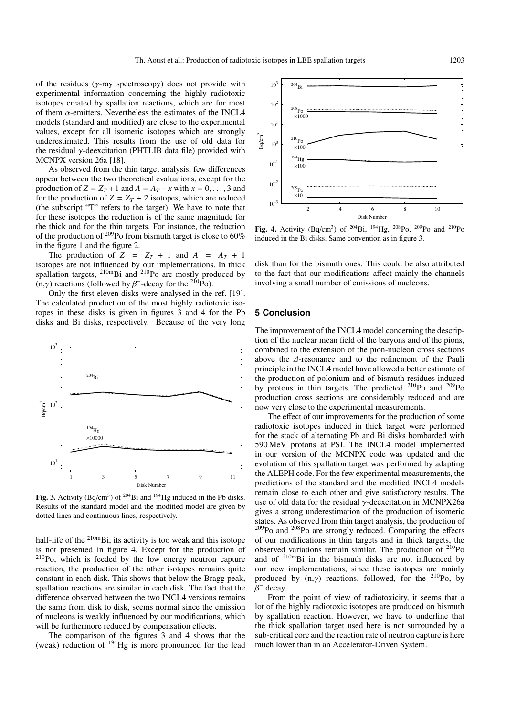of the residues ( $\gamma$ -ray spectroscopy) does not provide with experimental information concerning the highly radiotoxic isotopes created by spallation reactions, which are for most of them  $\alpha$ -emitters. Nevertheless the estimates of the INCL4 models (standard and modified) are close to the experimental values, except for all isomeric isotopes which are strongly underestimated. This results from the use of old data for the residual  $\gamma$ -deexcitation (PHTLIB data file) provided with MCNPX version 26a [18].

As observed from the thin target analysis, few differences appear between the two theoretical evaluations, except for the production of  $Z = Z_T + 1$  and  $A = A_T - x$  with  $x = 0, \ldots, 3$  and for the production of  $Z = Z_T + 2$  isotopes, which are reduced (the subscript "T" refers to the target). We have to note that for these isotopes the reduction is of the same magnitude for the thick and for the thin targets. For instance, the reduction of the production of  $209$ Po from bismuth target is close to  $60\%$ in the figure 1 and the figure 2.

The production of  $Z = Z_T + 1$  and  $A = A_T + 1$ isotopes are not influenced by our implementations. In thick spallation targets,  $^{210m}$ Bi and  $^{210}$ Po are mostly produced by (n,γ) reactions (followed by  $\beta^-$ -decay for the <sup>210</sup>Po).

Only the first eleven disks were analysed in the ref. [19]. The calculated production of the most highly radiotoxic isotopes in these disks is given in figures 3 and 4 for the Pb disks and Bi disks, respectively. Because of the very long



Fig. 3. Activity (Bq/cm<sup>3</sup>) of <sup>204</sup>Bi and <sup>194</sup>Hg induced in the Pb disks. Results of the standard model and the modified model are given by dotted lines and continuous lines, respectively.

half-life of the <sup>210m</sup>Bi, its activity is too weak and this isotope is not presented in figure 4. Except for the production of 210Po, which is feeded by the low energy neutron capture reaction, the production of the other isotopes remains quite constant in each disk. This shows that below the Bragg peak, spallation reactions are similar in each disk. The fact that the difference observed between the two INCL4 versions remains the same from disk to disk, seems normal since the emission of nucleons is weakly influenced by our modifications, which will be furthermore reduced by compensation effects.

The comparison of the figures 3 and 4 shows that the (weak) reduction of 194Hg is more pronounced for the lead



Fig. 4. Activity (Bq/cm<sup>3</sup>) of <sup>204</sup>Bi, <sup>194</sup>Hg, <sup>208</sup>Po, <sup>209</sup>Po and <sup>210</sup>Po induced in the Bi disks. Same convention as in figure 3.

disk than for the bismuth ones. This could be also attributed to the fact that our modifications affect mainly the channels involving a small number of emissions of nucleons.

#### **5 Conclusion**

The improvement of the INCL4 model concerning the description of the nuclear mean field of the baryons and of the pions, combined to the extension of the pion-nucleon cross sections above the ∆-resonance and to the refinement of the Pauli principle in the INCL4 model have allowed a better estimate of the production of polonium and of bismuth residues induced by protons in thin targets. The predicted 210Po and 209Po production cross sections are considerably reduced and are now very close to the experimental measurements.

The effect of our improvements for the production of some radiotoxic isotopes induced in thick target were performed for the stack of alternating Pb and Bi disks bombarded with 590 MeV protons at PSI. The INCL4 model implemented in our version of the MCNPX code was updated and the evolution of this spallation target was performed by adapting the ALEPH code. For the few experimental measurements, the predictions of the standard and the modified INCL4 models remain close to each other and give satisfactory results. The use of old data for the residual γ-deexcitation in MCNPX26a gives a strong underestimation of the production of isomeric states. As observed from thin target analysis, the production of 209Po and 208Po are strongly reduced. Comparing the effects of our modifications in thin targets and in thick targets, the observed variations remain similar. The production of 210Po and of  $210mBi$  in the bismuth disks are not influenced by our new implementations, since these isotopes are mainly produced by  $(n,y)$  reactions, followed, for the <sup>210</sup>Po, by  $\beta^-$  decay.

From the point of view of radiotoxicity, it seems that a lot of the highly radiotoxic isotopes are produced on bismuth by spallation reaction. However, we have to underline that the thick spallation target used here is not surrounded by a sub-critical core and the reaction rate of neutron capture is here much lower than in an Accelerator-Driven System.